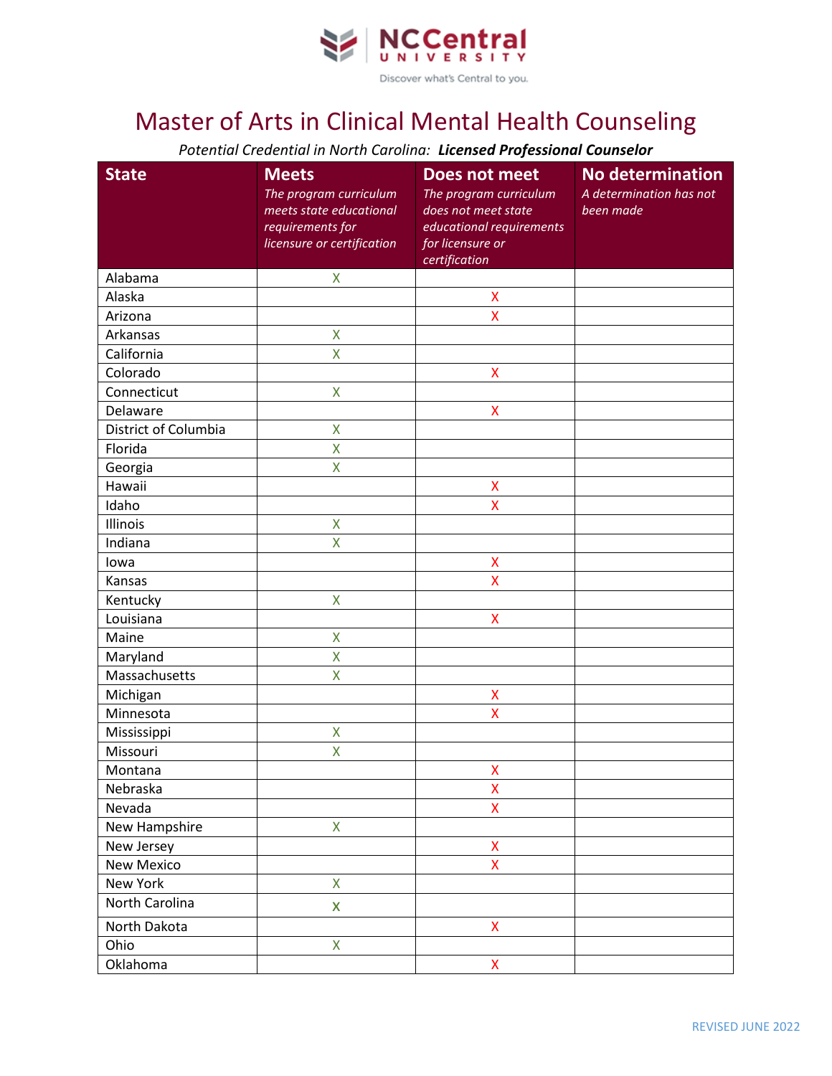

## Master of Arts in Clinical Mental Health Counseling

*Potential Credential in North Carolina: Licensed Professional Counselor*

| <b>State</b>         | <b>Meets</b><br>The program curriculum<br>meets state educational<br>requirements for<br>licensure or certification | Does not meet<br>The program curriculum<br>does not meet state<br>educational requirements<br>for licensure or | <b>No determination</b><br>A determination has not<br>been made |
|----------------------|---------------------------------------------------------------------------------------------------------------------|----------------------------------------------------------------------------------------------------------------|-----------------------------------------------------------------|
|                      |                                                                                                                     | certification                                                                                                  |                                                                 |
| Alabama              | $\pmb{\mathsf{X}}$                                                                                                  |                                                                                                                |                                                                 |
| Alaska               |                                                                                                                     | X                                                                                                              |                                                                 |
| Arizona              |                                                                                                                     | $\overline{\mathsf{X}}$                                                                                        |                                                                 |
| Arkansas             | $\pmb{\mathsf{X}}$                                                                                                  |                                                                                                                |                                                                 |
| California           | X                                                                                                                   |                                                                                                                |                                                                 |
| Colorado             |                                                                                                                     | $\pmb{\mathsf{X}}$                                                                                             |                                                                 |
| Connecticut          | $\pmb{\mathsf{X}}$                                                                                                  |                                                                                                                |                                                                 |
| Delaware             |                                                                                                                     | $\mathsf{X}$                                                                                                   |                                                                 |
| District of Columbia | X                                                                                                                   |                                                                                                                |                                                                 |
| Florida              | X                                                                                                                   |                                                                                                                |                                                                 |
| Georgia              | $\overline{\mathsf{X}}$                                                                                             |                                                                                                                |                                                                 |
| Hawaii               |                                                                                                                     | $\mathsf{X}$                                                                                                   |                                                                 |
| Idaho                |                                                                                                                     | X                                                                                                              |                                                                 |
| Illinois             | $\pmb{\mathsf{X}}$                                                                                                  |                                                                                                                |                                                                 |
| Indiana              | X                                                                                                                   |                                                                                                                |                                                                 |
| lowa                 |                                                                                                                     | $\pmb{\mathsf{X}}$                                                                                             |                                                                 |
| Kansas               |                                                                                                                     | $\overline{\mathsf{X}}$                                                                                        |                                                                 |
| Kentucky             | $\overline{\mathsf{X}}$                                                                                             |                                                                                                                |                                                                 |
| Louisiana            |                                                                                                                     | $\mathsf{X}$                                                                                                   |                                                                 |
| Maine                | $\pmb{\mathsf{X}}$                                                                                                  |                                                                                                                |                                                                 |
| Maryland             | X                                                                                                                   |                                                                                                                |                                                                 |
| Massachusetts        | X                                                                                                                   |                                                                                                                |                                                                 |
| Michigan             |                                                                                                                     | X                                                                                                              |                                                                 |
| Minnesota            |                                                                                                                     | $\mathsf{\overline{X}}$                                                                                        |                                                                 |
| Mississippi          | $\mathsf{X}$                                                                                                        |                                                                                                                |                                                                 |
| Missouri             | X                                                                                                                   |                                                                                                                |                                                                 |
| Montana              |                                                                                                                     | $\mathsf{X}^-$                                                                                                 |                                                                 |
| Nebraska             |                                                                                                                     | $\pmb{\mathsf{X}}$                                                                                             |                                                                 |
| Nevada               |                                                                                                                     | X                                                                                                              |                                                                 |
| New Hampshire        | $\mathsf X$                                                                                                         |                                                                                                                |                                                                 |
| New Jersey           |                                                                                                                     | $\pmb{\mathsf{X}}$                                                                                             |                                                                 |
| <b>New Mexico</b>    |                                                                                                                     | X                                                                                                              |                                                                 |
| New York             | $\pmb{\mathsf{X}}$                                                                                                  |                                                                                                                |                                                                 |
| North Carolina       | X                                                                                                                   |                                                                                                                |                                                                 |
| North Dakota         |                                                                                                                     | $\pmb{\mathsf{X}}$                                                                                             |                                                                 |
| Ohio                 | $\bar{\mathsf{X}}$                                                                                                  |                                                                                                                |                                                                 |
| Oklahoma             |                                                                                                                     | $\mathsf{X}% _{0}^{\prime}=\mathsf{X}_{0}^{\prime}$                                                            |                                                                 |